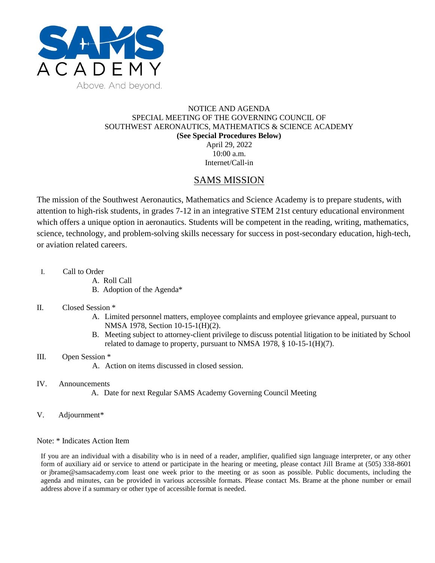

### NOTICE AND AGENDA SPECIAL MEETING OF THE GOVERNING COUNCIL OF SOUTHWEST AERONAUTICS, MATHEMATICS & SCIENCE ACADEMY **(See Special Procedures Below)** April 29, 2022 10:00 a.m.

Internet/Call-in

## SAMS MISSION

The mission of the Southwest Aeronautics, Mathematics and Science Academy is to prepare students, with attention to high-risk students, in grades 7-12 in an integrative STEM 21st century educational environment which offers a unique option in aeronautics. Students will be competent in the reading, writing, mathematics, science, technology, and problem-solving skills necessary for success in post-secondary education, high-tech, or aviation related careers.

- I. Call to Order
	- A. Roll Call
	- B. Adoption of the Agenda\*

### II. Closed Session \*

- A. Limited personnel matters, employee complaints and employee grievance appeal, pursuant to NMSA 1978, Section 10-15-1(H)(2).
- B. Meeting subject to attorney-client privilege to discuss potential litigation to be initiated by School related to damage to property, pursuant to NMSA 1978, § 10-15-1(H)(7).

### III. Open Session \*

A. Action on items discussed in closed session.

### IV. Announcements

- A. Date for next Regular SAMS Academy Governing Council Meeting
- V. Adjournment\*

### Note: \* Indicates Action Item

If you are an individual with a disability who is in need of a reader, amplifier, qualified sign language interpreter, or any other form of auxiliary aid or service to attend or participate in the hearing or meeting, please contact Jill Brame at (505) 338-8601 or jbrame@samsacademy.com least one week prior to the meeting or as soon as possible. Public documents, including the agenda and minutes, can be provided in various accessible formats. Please contact Ms. Brame at the phone number or email address above if a summary or other type of accessible format is needed.